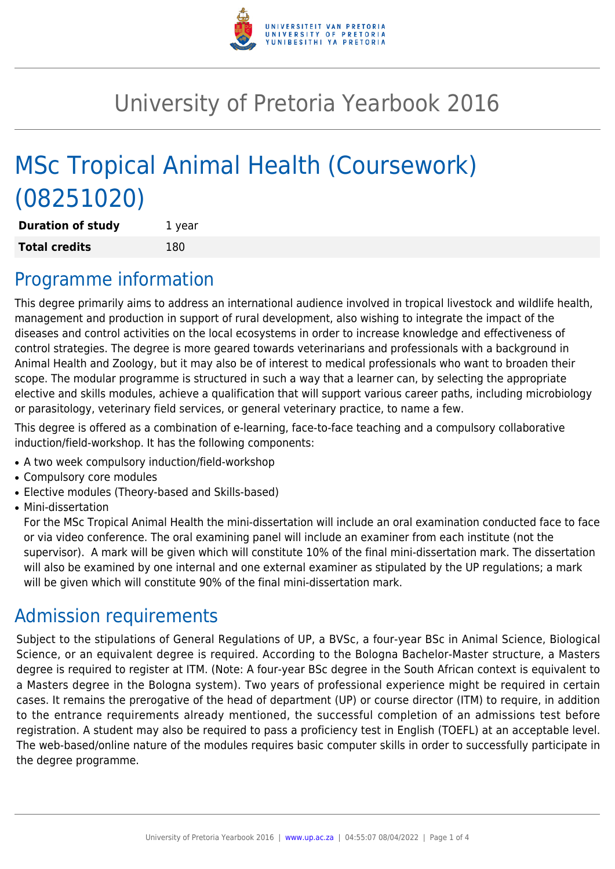

# University of Pretoria Yearbook 2016

# MSc Tropical Animal Health (Coursework) (08251020)

| <b>Duration of study</b> | 1 year |
|--------------------------|--------|
| <b>Total credits</b>     | 180    |

### Programme information

This degree primarily aims to address an international audience involved in tropical livestock and wildlife health, management and production in support of rural development, also wishing to integrate the impact of the diseases and control activities on the local ecosystems in order to increase knowledge and effectiveness of control strategies. The degree is more geared towards veterinarians and professionals with a background in Animal Health and Zoology, but it may also be of interest to medical professionals who want to broaden their scope. The modular programme is structured in such a way that a learner can, by selecting the appropriate elective and skills modules, achieve a qualification that will support various career paths, including microbiology or parasitology, veterinary field services, or general veterinary practice, to name a few.

This degree is offered as a combination of e-learning, face-to-face teaching and a compulsory collaborative induction/field-workshop. It has the following components:

- A two week compulsory induction/field-workshop
- Compulsory core modules
- Elective modules (Theory-based and Skills-based)
- Mini-dissertation

For the MSc Tropical Animal Health the mini-dissertation will include an oral examination conducted face to face or via video conference. The oral examining panel will include an examiner from each institute (not the supervisor). A mark will be given which will constitute 10% of the final mini-dissertation mark. The dissertation will also be examined by one internal and one external examiner as stipulated by the UP regulations; a mark will be given which will constitute 90% of the final mini-dissertation mark.

## Admission requirements

Subject to the stipulations of General Regulations of UP, a BVSc, a four-year BSc in Animal Science, Biological Science, or an equivalent degree is required. According to the Bologna Bachelor-Master structure, a Masters degree is required to register at ITM. (Note: A four-year BSc degree in the South African context is equivalent to a Masters degree in the Bologna system). Two years of professional experience might be required in certain cases. It remains the prerogative of the head of department (UP) or course director (ITM) to require, in addition to the entrance requirements already mentioned, the successful completion of an admissions test before registration. A student may also be required to pass a proficiency test in English (TOEFL) at an acceptable level. The web-based/online nature of the modules requires basic computer skills in order to successfully participate in the degree programme.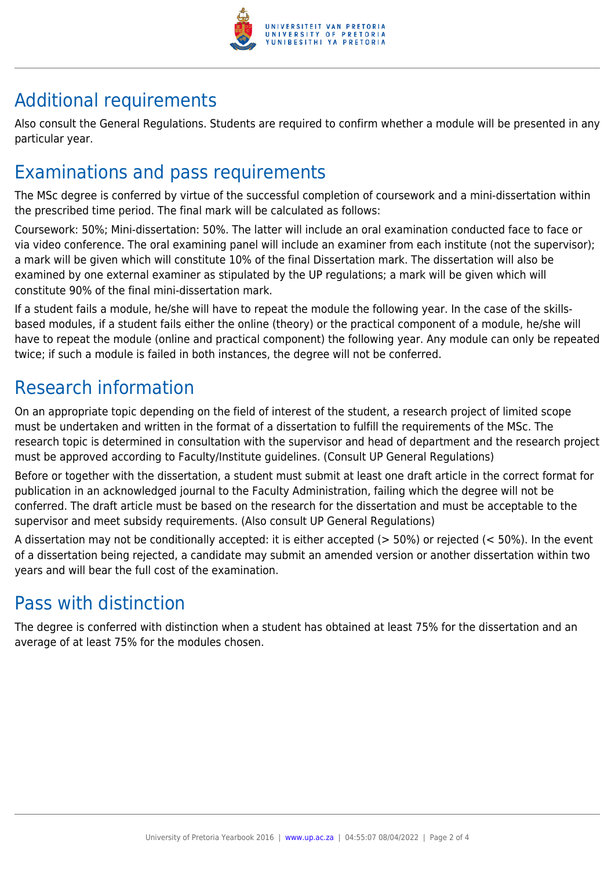

## Additional requirements

Also consult the General Regulations. Students are required to confirm whether a module will be presented in any particular year.

### Examinations and pass requirements

The MSc degree is conferred by virtue of the successful completion of coursework and a mini-dissertation within the prescribed time period. The final mark will be calculated as follows:

Coursework: 50%; Mini-dissertation: 50%. The latter will include an oral examination conducted face to face or via video conference. The oral examining panel will include an examiner from each institute (not the supervisor); a mark will be given which will constitute 10% of the final Dissertation mark. The dissertation will also be examined by one external examiner as stipulated by the UP regulations; a mark will be given which will constitute 90% of the final mini-dissertation mark.

If a student fails a module, he/she will have to repeat the module the following year. In the case of the skillsbased modules, if a student fails either the online (theory) or the practical component of a module, he/she will have to repeat the module (online and practical component) the following year. Any module can only be repeated twice; if such a module is failed in both instances, the degree will not be conferred.

### Research information

On an appropriate topic depending on the field of interest of the student, a research project of limited scope must be undertaken and written in the format of a dissertation to fulfill the requirements of the MSc. The research topic is determined in consultation with the supervisor and head of department and the research project must be approved according to Faculty/Institute guidelines. (Consult UP General Regulations)

Before or together with the dissertation, a student must submit at least one draft article in the correct format for publication in an acknowledged journal to the Faculty Administration, failing which the degree will not be conferred. The draft article must be based on the research for the dissertation and must be acceptable to the supervisor and meet subsidy requirements. (Also consult UP General Regulations)

A dissertation may not be conditionally accepted: it is either accepted ( $>$  50%) or rejected ( $<$  50%). In the event of a dissertation being rejected, a candidate may submit an amended version or another dissertation within two years and will bear the full cost of the examination.

### Pass with distinction

The degree is conferred with distinction when a student has obtained at least 75% for the dissertation and an average of at least 75% for the modules chosen.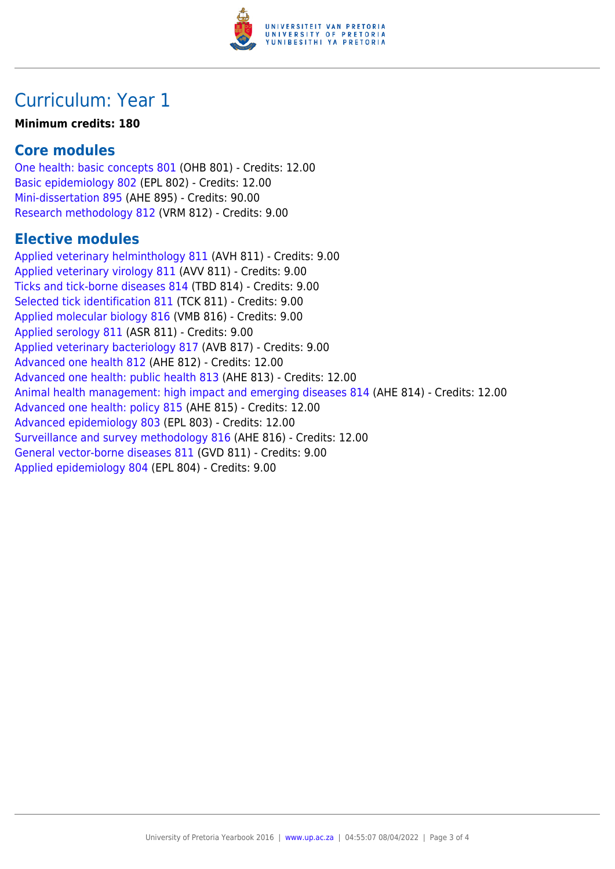

### Curriculum: Year 1

#### **Minimum credits: 180**

#### **Core modules**

[One health: basic concepts 801](https://www.up.ac.za/parents/yearbooks/2016/modules/view/OHB 801) (OHB 801) - Credits: 12.00 [Basic epidemiology 802](https://www.up.ac.za/parents/yearbooks/2016/modules/view/EPL 802) (EPL 802) - Credits: 12.00 [Mini-dissertation 895](https://www.up.ac.za/parents/yearbooks/2016/modules/view/AHE 895) (AHE 895) - Credits: 90.00 [Research methodology 812](https://www.up.ac.za/parents/yearbooks/2016/modules/view/VRM 812) (VRM 812) - Credits: 9.00

#### **Elective modules**

[Applied veterinary helminthology 811](https://www.up.ac.za/parents/yearbooks/2016/modules/view/AVH 811) (AVH 811) - Credits: 9.00 [Applied veterinary virology 811](https://www.up.ac.za/parents/yearbooks/2016/modules/view/AVV 811) (AVV 811) - Credits: 9.00 [Ticks and tick-borne diseases 814](https://www.up.ac.za/parents/yearbooks/2016/modules/view/TBD 814) (TBD 814) - Credits: 9.00 [Selected tick identification 811](https://www.up.ac.za/parents/yearbooks/2016/modules/view/TCK 811) (TCK 811) - Credits: 9.00 [Applied molecular biology 816](https://www.up.ac.za/parents/yearbooks/2016/modules/view/VMB 816) (VMB 816) - Credits: 9.00 [Applied serology 811](https://www.up.ac.za/parents/yearbooks/2016/modules/view/ASR 811) (ASR 811) - Credits: 9.00 [Applied veterinary bacteriology 817](https://www.up.ac.za/parents/yearbooks/2016/modules/view/AVB 817) (AVB 817) - Credits: 9.00 [Advanced one health 812](https://www.up.ac.za/parents/yearbooks/2016/modules/view/AHE 812) (AHE 812) - Credits: 12.00 [Advanced one health: public health 813](https://www.up.ac.za/parents/yearbooks/2016/modules/view/AHE 813) (AHE 813) - Credits: 12.00 [Animal health management: high impact and emerging diseases 814](https://www.up.ac.za/parents/yearbooks/2016/modules/view/AHE 814) (AHE 814) - Credits: 12.00 [Advanced one health: policy 815](https://www.up.ac.za/parents/yearbooks/2016/modules/view/AHE 815) (AHE 815) - Credits: 12.00 [Advanced epidemiology 803](https://www.up.ac.za/parents/yearbooks/2016/modules/view/EPL 803) (EPL 803) - Credits: 12.00 [Surveillance and survey methodology 816](https://www.up.ac.za/parents/yearbooks/2016/modules/view/AHE 816) (AHE 816) - Credits: 12.00 [General vector-borne diseases 811](https://www.up.ac.za/parents/yearbooks/2016/modules/view/GVD 811) (GVD 811) - Credits: 9.00 [Applied epidemiology 804](https://www.up.ac.za/parents/yearbooks/2016/modules/view/EPL 804) (EPL 804) - Credits: 9.00